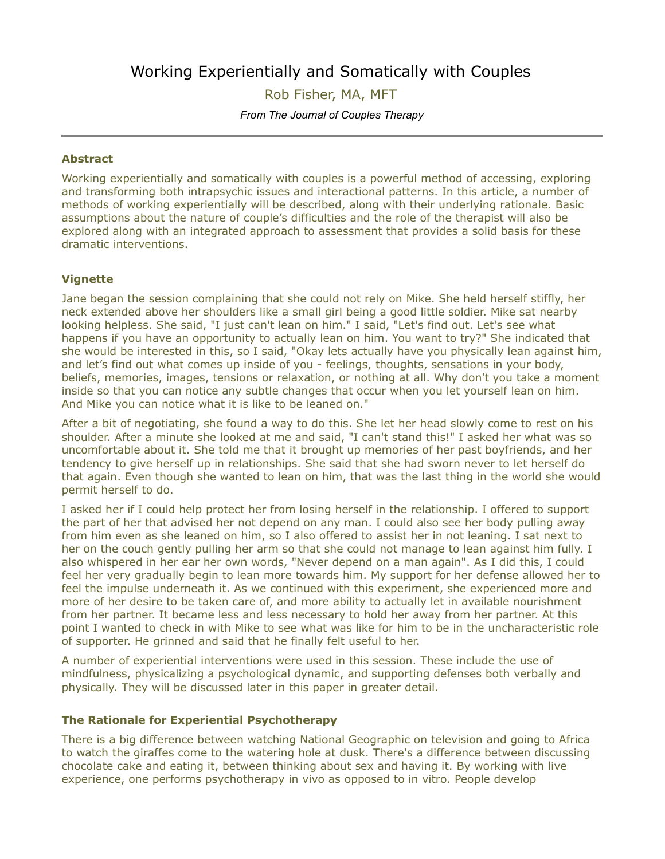Working Experientially and Somatically with Couples

Rob Fisher, MA, MFT

*From The Journal of Couples Therapy*

# **Abstract**

Working experientially and somatically with couples is a powerful method of accessing, exploring and transforming both intrapsychic issues and interactional patterns. In this article, a number of methods of working experientially will be described, along with their underlying rationale. Basic assumptions about the nature of couple's difficulties and the role of the therapist will also be explored along with an integrated approach to assessment that provides a solid basis for these dramatic interventions.

# **Vignette**

Jane began the session complaining that she could not rely on Mike. She held herself stiffly, her neck extended above her shoulders like a small girl being a good little soldier. Mike sat nearby looking helpless. She said, "I just can't lean on him." I said, "Let's find out. Let's see what happens if you have an opportunity to actually lean on him. You want to try?" She indicated that she would be interested in this, so I said, "Okay lets actually have you physically lean against him, and let's find out what comes up inside of you - feelings, thoughts, sensations in your body, beliefs, memories, images, tensions or relaxation, or nothing at all. Why don't you take a moment inside so that you can notice any subtle changes that occur when you let yourself lean on him. And Mike you can notice what it is like to be leaned on."

After a bit of negotiating, she found a way to do this. She let her head slowly come to rest on his shoulder. After a minute she looked at me and said, "I can't stand this!" I asked her what was so uncomfortable about it. She told me that it brought up memories of her past boyfriends, and her tendency to give herself up in relationships. She said that she had sworn never to let herself do that again. Even though she wanted to lean on him, that was the last thing in the world she would permit herself to do.

I asked her if I could help protect her from losing herself in the relationship. I offered to support the part of her that advised her not depend on any man. I could also see her body pulling away from him even as she leaned on him, so I also offered to assist her in not leaning. I sat next to her on the couch gently pulling her arm so that she could not manage to lean against him fully. I also whispered in her ear her own words, "Never depend on a man again". As I did this, I could feel her very gradually begin to lean more towards him. My support for her defense allowed her to feel the impulse underneath it. As we continued with this experiment, she experienced more and more of her desire to be taken care of, and more ability to actually let in available nourishment from her partner. It became less and less necessary to hold her away from her partner. At this point I wanted to check in with Mike to see what was like for him to be in the uncharacteristic role of supporter. He grinned and said that he finally felt useful to her.

A number of experiential interventions were used in this session. These include the use of mindfulness, physicalizing a psychological dynamic, and supporting defenses both verbally and physically. They will be discussed later in this paper in greater detail.

# **The Rationale for Experiential Psychotherapy**

There is a big difference between watching National Geographic on television and going to Africa to watch the giraffes come to the watering hole at dusk. There's a difference between discussing chocolate cake and eating it, between thinking about sex and having it. By working with live experience, one performs psychotherapy in vivo as opposed to in vitro. People develop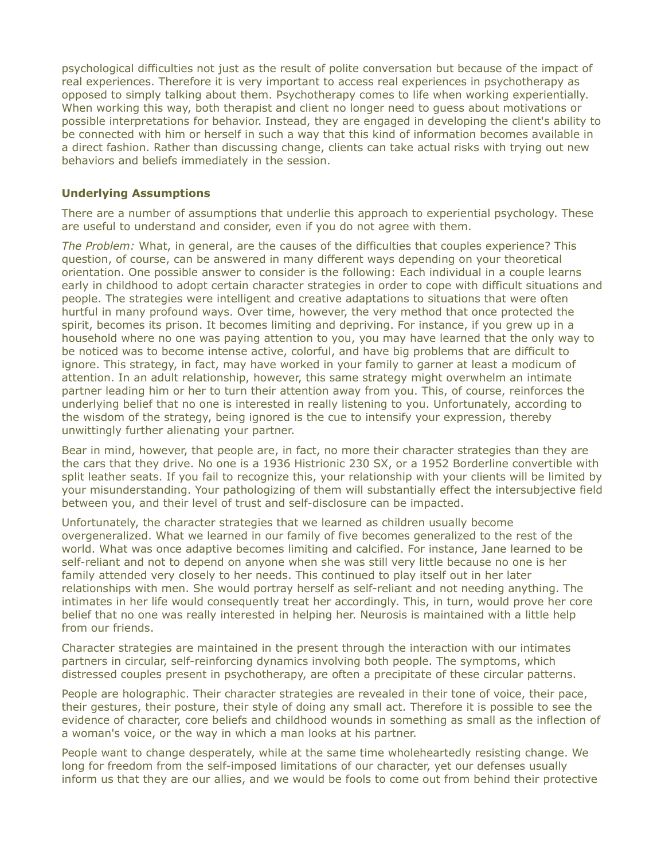psychological difficulties not just as the result of polite conversation but because of the impact of real experiences. Therefore it is very important to access real experiences in psychotherapy as opposed to simply talking about them. Psychotherapy comes to life when working experientially. When working this way, both therapist and client no longer need to guess about motivations or possible interpretations for behavior. Instead, they are engaged in developing the client's ability to be connected with him or herself in such a way that this kind of information becomes available in a direct fashion. Rather than discussing change, clients can take actual risks with trying out new behaviors and beliefs immediately in the session.

## **Underlying Assumptions**

There are a number of assumptions that underlie this approach to experiential psychology. These are useful to understand and consider, even if you do not agree with them.

*The Problem:* What, in general, are the causes of the difficulties that couples experience? This question, of course, can be answered in many different ways depending on your theoretical orientation. One possible answer to consider is the following: Each individual in a couple learns early in childhood to adopt certain character strategies in order to cope with difficult situations and people. The strategies were intelligent and creative adaptations to situations that were often hurtful in many profound ways. Over time, however, the very method that once protected the spirit, becomes its prison. It becomes limiting and depriving. For instance, if you grew up in a household where no one was paying attention to you, you may have learned that the only way to be noticed was to become intense active, colorful, and have big problems that are difficult to ignore. This strategy, in fact, may have worked in your family to garner at least a modicum of attention. In an adult relationship, however, this same strategy might overwhelm an intimate partner leading him or her to turn their attention away from you. This, of course, reinforces the underlying belief that no one is interested in really listening to you. Unfortunately, according to the wisdom of the strategy, being ignored is the cue to intensify your expression, thereby unwittingly further alienating your partner.

Bear in mind, however, that people are, in fact, no more their character strategies than they are the cars that they drive. No one is a 1936 Histrionic 230 SX, or a 1952 Borderline convertible with split leather seats. If you fail to recognize this, your relationship with your clients will be limited by your misunderstanding. Your pathologizing of them will substantially effect the intersubjective field between you, and their level of trust and self-disclosure can be impacted.

Unfortunately, the character strategies that we learned as children usually become overgeneralized. What we learned in our family of five becomes generalized to the rest of the world. What was once adaptive becomes limiting and calcified. For instance, Jane learned to be self-reliant and not to depend on anyone when she was still very little because no one is her family attended very closely to her needs. This continued to play itself out in her later relationships with men. She would portray herself as self-reliant and not needing anything. The intimates in her life would consequently treat her accordingly. This, in turn, would prove her core belief that no one was really interested in helping her. Neurosis is maintained with a little help from our friends.

Character strategies are maintained in the present through the interaction with our intimates partners in circular, self-reinforcing dynamics involving both people. The symptoms, which distressed couples present in psychotherapy, are often a precipitate of these circular patterns.

People are holographic. Their character strategies are revealed in their tone of voice, their pace, their gestures, their posture, their style of doing any small act. Therefore it is possible to see the evidence of character, core beliefs and childhood wounds in something as small as the inflection of a woman's voice, or the way in which a man looks at his partner.

People want to change desperately, while at the same time wholeheartedly resisting change. We long for freedom from the self-imposed limitations of our character, yet our defenses usually inform us that they are our allies, and we would be fools to come out from behind their protective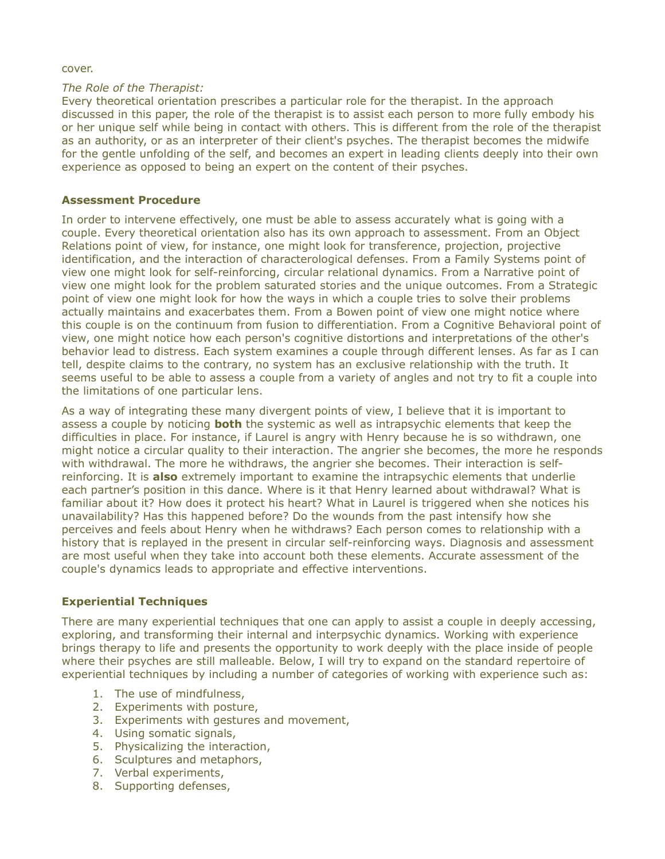#### cover.

### *The Role of the Therapist:*

Every theoretical orientation prescribes a particular role for the therapist. In the approach discussed in this paper, the role of the therapist is to assist each person to more fully embody his or her unique self while being in contact with others. This is different from the role of the therapist as an authority, or as an interpreter of their client's psyches. The therapist becomes the midwife for the gentle unfolding of the self, and becomes an expert in leading clients deeply into their own experience as opposed to being an expert on the content of their psyches.

## **Assessment Procedure**

In order to intervene effectively, one must be able to assess accurately what is going with a couple. Every theoretical orientation also has its own approach to assessment. From an Object Relations point of view, for instance, one might look for transference, projection, projective identification, and the interaction of characterological defenses. From a Family Systems point of view one might look for self-reinforcing, circular relational dynamics. From a Narrative point of view one might look for the problem saturated stories and the unique outcomes. From a Strategic point of view one might look for how the ways in which a couple tries to solve their problems actually maintains and exacerbates them. From a Bowen point of view one might notice where this couple is on the continuum from fusion to differentiation. From a Cognitive Behavioral point of view, one might notice how each person's cognitive distortions and interpretations of the other's behavior lead to distress. Each system examines a couple through different lenses. As far as I can tell, despite claims to the contrary, no system has an exclusive relationship with the truth. It seems useful to be able to assess a couple from a variety of angles and not try to fit a couple into the limitations of one particular lens.

As a way of integrating these many divergent points of view, I believe that it is important to assess a couple by noticing **both** the systemic as well as intrapsychic elements that keep the difficulties in place. For instance, if Laurel is angry with Henry because he is so withdrawn, one might notice a circular quality to their interaction. The angrier she becomes, the more he responds with withdrawal. The more he withdraws, the angrier she becomes. Their interaction is selfreinforcing. It is **also** extremely important to examine the intrapsychic elements that underlie each partner's position in this dance. Where is it that Henry learned about withdrawal? What is familiar about it? How does it protect his heart? What in Laurel is triggered when she notices his unavailability? Has this happened before? Do the wounds from the past intensify how she perceives and feels about Henry when he withdraws? Each person comes to relationship with a history that is replayed in the present in circular self-reinforcing ways. Diagnosis and assessment are most useful when they take into account both these elements. Accurate assessment of the couple's dynamics leads to appropriate and effective interventions.

# **Experiential Techniques**

There are many experiential techniques that one can apply to assist a couple in deeply accessing, exploring, and transforming their internal and interpsychic dynamics. Working with experience brings therapy to life and presents the opportunity to work deeply with the place inside of people where their psyches are still malleable. Below, I will try to expand on the standard repertoire of experiential techniques by including a number of categories of working with experience such as:

- 1. The use of mindfulness,
- 2. Experiments with posture,
- 3. Experiments with gestures and movement,
- 4. Using somatic signals,
- 5. Physicalizing the interaction,
- 6. Sculptures and metaphors,
- 7. Verbal experiments,
- 8. Supporting defenses,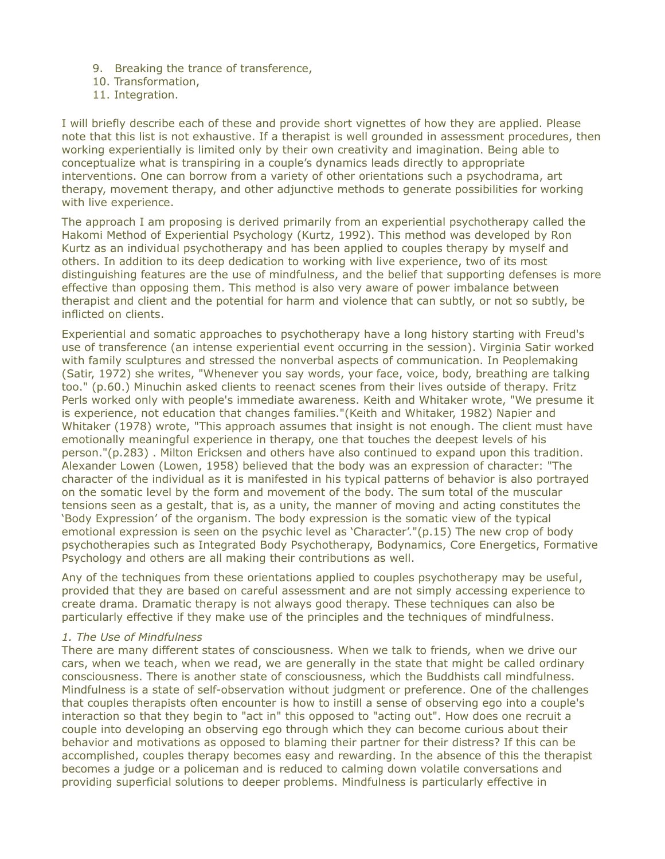- 9. Breaking the trance of transference,
- 10. Transformation,
- 11. Integration.

I will briefly describe each of these and provide short vignettes of how they are applied. Please note that this list is not exhaustive. If a therapist is well grounded in assessment procedures, then working experientially is limited only by their own creativity and imagination. Being able to conceptualize what is transpiring in a couple's dynamics leads directly to appropriate interventions. One can borrow from a variety of other orientations such a psychodrama, art therapy, movement therapy, and other adjunctive methods to generate possibilities for working with live experience.

The approach I am proposing is derived primarily from an experiential psychotherapy called the Hakomi Method of Experiential Psychology (Kurtz, 1992). This method was developed by Ron Kurtz as an individual psychotherapy and has been applied to couples therapy by myself and others. In addition to its deep dedication to working with live experience, two of its most distinguishing features are the use of mindfulness, and the belief that supporting defenses is more effective than opposing them. This method is also very aware of power imbalance between therapist and client and the potential for harm and violence that can subtly, or not so subtly, be inflicted on clients.

Experiential and somatic approaches to psychotherapy have a long history starting with Freud's use of transference (an intense experiential event occurring in the session). Virginia Satir worked with family sculptures and stressed the nonverbal aspects of communication. In Peoplemaking (Satir, 1972) she writes, "Whenever you say words, your face, voice, body, breathing are talking too." (p.60.) Minuchin asked clients to reenact scenes from their lives outside of therapy. Fritz Perls worked only with people's immediate awareness. Keith and Whitaker wrote, "We presume it is experience, not education that changes families."(Keith and Whitaker, 1982) Napier and Whitaker (1978) wrote, "This approach assumes that insight is not enough. The client must have emotionally meaningful experience in therapy, one that touches the deepest levels of his person."(p.283) . Milton Ericksen and others have also continued to expand upon this tradition. Alexander Lowen (Lowen, 1958) believed that the body was an expression of character: "The character of the individual as it is manifested in his typical patterns of behavior is also portrayed on the somatic level by the form and movement of the body. The sum total of the muscular tensions seen as a gestalt, that is, as a unity, the manner of moving and acting constitutes the 'Body Expression' of the organism. The body expression is the somatic view of the typical emotional expression is seen on the psychic level as 'Character'."(p.15) The new crop of body psychotherapies such as Integrated Body Psychotherapy, Bodynamics, Core Energetics, Formative Psychology and others are all making their contributions as well.

Any of the techniques from these orientations applied to couples psychotherapy may be useful, provided that they are based on careful assessment and are not simply accessing experience to create drama. Dramatic therapy is not always good therapy. These techniques can also be particularly effective if they make use of the principles and the techniques of mindfulness.

#### *1. The Use of Mindfulness*

There are many different states of consciousness*.* When we talk to friends*,* when we drive our cars, when we teach, when we read, we are generally in the state that might be called ordinary consciousness. There is another state of consciousness, which the Buddhists call mindfulness. Mindfulness is a state of self-observation without judgment or preference. One of the challenges that couples therapists often encounter is how to instill a sense of observing ego into a couple's interaction so that they begin to "act in" this opposed to "acting out". How does one recruit a couple into developing an observing ego through which they can become curious about their behavior and motivations as opposed to blaming their partner for their distress? If this can be accomplished, couples therapy becomes easy and rewarding. In the absence of this the therapist becomes a judge or a policeman and is reduced to calming down volatile conversations and providing superficial solutions to deeper problems. Mindfulness is particularly effective in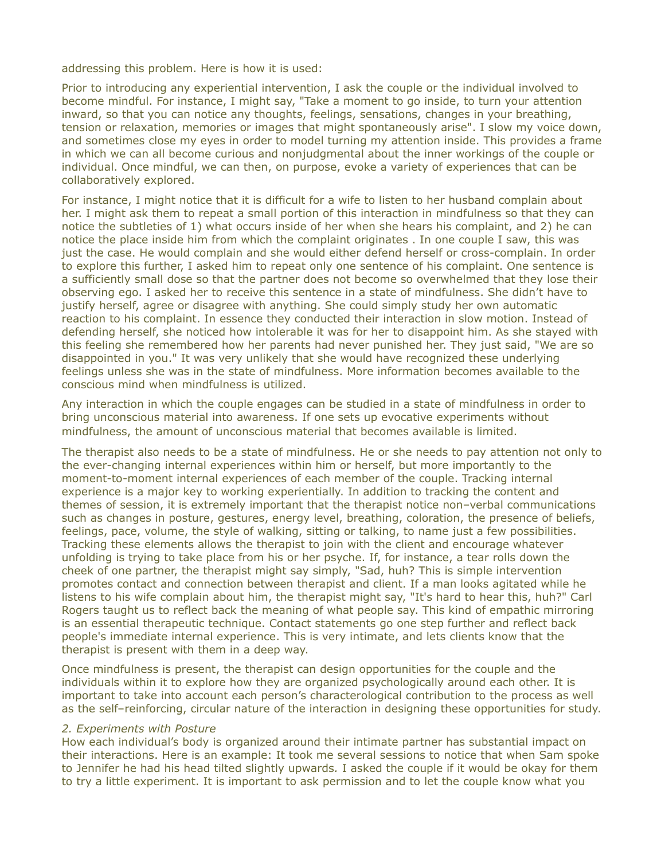addressing this problem. Here is how it is used:

Prior to introducing any experiential intervention, I ask the couple or the individual involved to become mindful. For instance, I might say, "Take a moment to go inside, to turn your attention inward, so that you can notice any thoughts, feelings, sensations, changes in your breathing, tension or relaxation, memories or images that might spontaneously arise". I slow my voice down, and sometimes close my eyes in order to model turning my attention inside. This provides a frame in which we can all become curious and nonjudgmental about the inner workings of the couple or individual. Once mindful, we can then, on purpose, evoke a variety of experiences that can be collaboratively explored.

For instance, I might notice that it is difficult for a wife to listen to her husband complain about her. I might ask them to repeat a small portion of this interaction in mindfulness so that they can notice the subtleties of 1) what occurs inside of her when she hears his complaint, and 2) he can notice the place inside him from which the complaint originates . In one couple I saw, this was just the case. He would complain and she would either defend herself or cross-complain. In order to explore this further, I asked him to repeat only one sentence of his complaint. One sentence is a sufficiently small dose so that the partner does not become so overwhelmed that they lose their observing ego. I asked her to receive this sentence in a state of mindfulness. She didn't have to justify herself, agree or disagree with anything. She could simply study her own automatic reaction to his complaint. In essence they conducted their interaction in slow motion. Instead of defending herself, she noticed how intolerable it was for her to disappoint him. As she stayed with this feeling she remembered how her parents had never punished her. They just said, "We are so disappointed in you." It was very unlikely that she would have recognized these underlying feelings unless she was in the state of mindfulness. More information becomes available to the conscious mind when mindfulness is utilized.

Any interaction in which the couple engages can be studied in a state of mindfulness in order to bring unconscious material into awareness. If one sets up evocative experiments without mindfulness, the amount of unconscious material that becomes available is limited.

The therapist also needs to be a state of mindfulness. He or she needs to pay attention not only to the ever-changing internal experiences within him or herself, but more importantly to the moment-to-moment internal experiences of each member of the couple. Tracking internal experience is a major key to working experientially. In addition to tracking the content and themes of session, it is extremely important that the therapist notice non–verbal communications such as changes in posture, gestures, energy level, breathing, coloration, the presence of beliefs, feelings, pace, volume, the style of walking, sitting or talking, to name just a few possibilities. Tracking these elements allows the therapist to join with the client and encourage whatever unfolding is trying to take place from his or her psyche. If, for instance, a tear rolls down the cheek of one partner, the therapist might say simply, "Sad, huh? This is simple intervention promotes contact and connection between therapist and client. If a man looks agitated while he listens to his wife complain about him, the therapist might say, "It's hard to hear this, huh?" Carl Rogers taught us to reflect back the meaning of what people say. This kind of empathic mirroring is an essential therapeutic technique. Contact statements go one step further and reflect back people's immediate internal experience. This is very intimate, and lets clients know that the therapist is present with them in a deep way.

Once mindfulness is present, the therapist can design opportunities for the couple and the individuals within it to explore how they are organized psychologically around each other. It is important to take into account each person's characterological contribution to the process as well as the self–reinforcing, circular nature of the interaction in designing these opportunities for study.

#### *2. Experiments with Posture*

How each individual's body is organized around their intimate partner has substantial impact on their interactions. Here is an example: It took me several sessions to notice that when Sam spoke to Jennifer he had his head tilted slightly upwards*.* I asked the couple if it would be okay for them to try a little experiment. It is important to ask permission and to let the couple know what you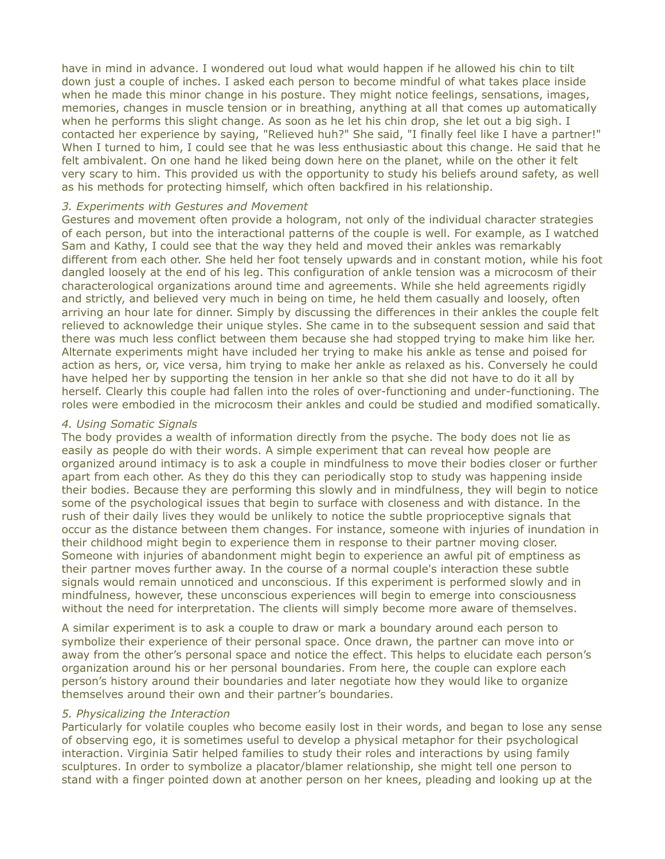have in mind in advance. I wondered out loud what would happen if he allowed his chin to tilt down just a couple of inches. I asked each person to become mindful of what takes place inside when he made this minor change in his posture. They might notice feelings, sensations, images, memories, changes in muscle tension or in breathing, anything at all that comes up automatically when he performs this slight change. As soon as he let his chin drop, she let out a big sigh. I contacted her experience by saying, "Relieved huh?" She said, "I finally feel like I have a partner!" When I turned to him, I could see that he was less enthusiastic about this change. He said that he felt ambivalent. On one hand he liked being down here on the planet, while on the other it felt very scary to him. This provided us with the opportunity to study his beliefs around safety, as well as his methods for protecting himself, which often backfired in his relationship.

#### *3. Experiments with Gestures and Movement*

Gestures and movement often provide a hologram, not only of the individual character strategies of each person, but into the interactional patterns of the couple is well. For example, as I watched Sam and Kathy, I could see that the way they held and moved their ankles was remarkably different from each other. She held her foot tensely upwards and in constant motion, while his foot dangled loosely at the end of his leg. This configuration of ankle tension was a microcosm of their characterological organizations around time and agreements. While she held agreements rigidly and strictly, and believed very much in being on time, he held them casually and loosely, often arriving an hour late for dinner. Simply by discussing the differences in their ankles the couple felt relieved to acknowledge their unique styles. She came in to the subsequent session and said that there was much less conflict between them because she had stopped trying to make him like her. Alternate experiments might have included her trying to make his ankle as tense and poised for action as hers, or, vice versa, him trying to make her ankle as relaxed as his. Conversely he could have helped her by supporting the tension in her ankle so that she did not have to do it all by herself. Clearly this couple had fallen into the roles of over-functioning and under-functioning. The roles were embodied in the microcosm their ankles and could be studied and modified somatically.

#### *4. Using Somatic Signals*

The body provides a wealth of information directly from the psyche. The body does not lie as easily as people do with their words. A simple experiment that can reveal how people are organized around intimacy is to ask a couple in mindfulness to move their bodies closer or further apart from each other. As they do this they can periodically stop to study was happening inside their bodies. Because they are performing this slowly and in mindfulness, they will begin to notice some of the psychological issues that begin to surface with closeness and with distance. In the rush of their daily lives they would be unlikely to notice the subtle proprioceptive signals that occur as the distance between them changes. For instance, someone with injuries of inundation in their childhood might begin to experience them in response to their partner moving closer. Someone with injuries of abandonment might begin to experience an awful pit of emptiness as their partner moves further away. In the course of a normal couple's interaction these subtle signals would remain unnoticed and unconscious. If this experiment is performed slowly and in mindfulness, however, these unconscious experiences will begin to emerge into consciousness without the need for interpretation. The clients will simply become more aware of themselves.

A similar experiment is to ask a couple to draw or mark a boundary around each person to symbolize their experience of their personal space. Once drawn, the partner can move into or away from the other's personal space and notice the effect. This helps to elucidate each person's organization around his or her personal boundaries. From here, the couple can explore each person's history around their boundaries and later negotiate how they would like to organize themselves around their own and their partner's boundaries.

#### *5. Physicalizing the Interaction*

Particularly for volatile couples who become easily lost in their words, and began to lose any sense of observing ego, it is sometimes useful to develop a physical metaphor for their psychological interaction. Virginia Satir helped families to study their roles and interactions by using family sculptures. In order to symbolize a placator/blamer relationship, she might tell one person to stand with a finger pointed down at another person on her knees, pleading and looking up at the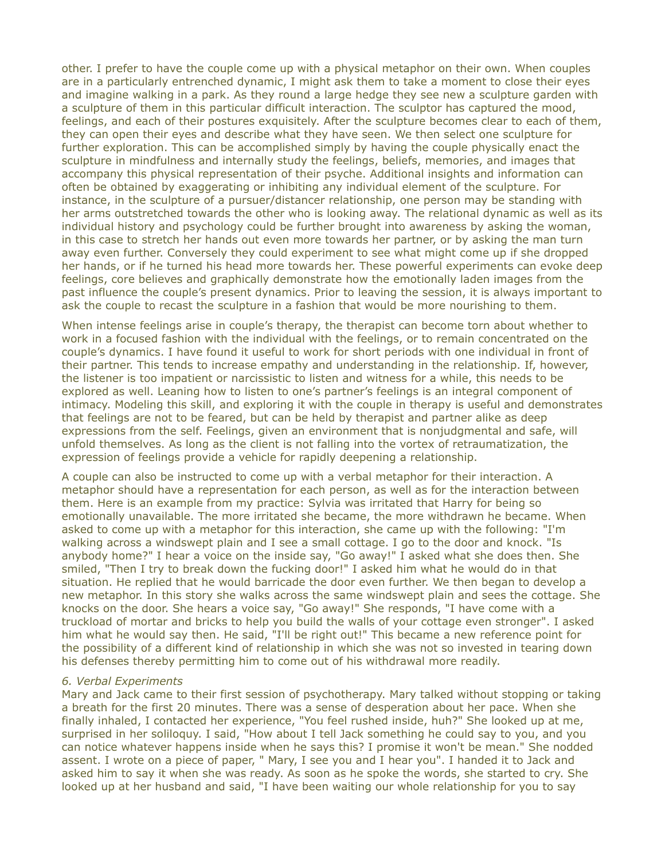other. I prefer to have the couple come up with a physical metaphor on their own. When couples are in a particularly entrenched dynamic, I might ask them to take a moment to close their eyes and imagine walking in a park. As they round a large hedge they see new a sculpture garden with a sculpture of them in this particular difficult interaction. The sculptor has captured the mood, feelings, and each of their postures exquisitely. After the sculpture becomes clear to each of them, they can open their eyes and describe what they have seen. We then select one sculpture for further exploration. This can be accomplished simply by having the couple physically enact the sculpture in mindfulness and internally study the feelings, beliefs, memories, and images that accompany this physical representation of their psyche. Additional insights and information can often be obtained by exaggerating or inhibiting any individual element of the sculpture. For instance, in the sculpture of a pursuer/distancer relationship, one person may be standing with her arms outstretched towards the other who is looking away. The relational dynamic as well as its individual history and psychology could be further brought into awareness by asking the woman, in this case to stretch her hands out even more towards her partner, or by asking the man turn away even further. Conversely they could experiment to see what might come up if she dropped her hands, or if he turned his head more towards her. These powerful experiments can evoke deep feelings, core believes and graphically demonstrate how the emotionally laden images from the past influence the couple's present dynamics. Prior to leaving the session, it is always important to ask the couple to recast the sculpture in a fashion that would be more nourishing to them.

When intense feelings arise in couple's therapy, the therapist can become torn about whether to work in a focused fashion with the individual with the feelings, or to remain concentrated on the couple's dynamics. I have found it useful to work for short periods with one individual in front of their partner. This tends to increase empathy and understanding in the relationship. If, however, the listener is too impatient or narcissistic to listen and witness for a while, this needs to be explored as well. Leaning how to listen to one's partner's feelings is an integral component of intimacy. Modeling this skill, and exploring it with the couple in therapy is useful and demonstrates that feelings are not to be feared, but can be held by therapist and partner alike as deep expressions from the self. Feelings, given an environment that is nonjudgmental and safe, will unfold themselves. As long as the client is not falling into the vortex of retraumatization, the expression of feelings provide a vehicle for rapidly deepening a relationship.

A couple can also be instructed to come up with a verbal metaphor for their interaction. A metaphor should have a representation for each person, as well as for the interaction between them. Here is an example from my practice: Sylvia was irritated that Harry for being so emotionally unavailable. The more irritated she became, the more withdrawn he became. When asked to come up with a metaphor for this interaction, she came up with the following: "I'm walking across a windswept plain and I see a small cottage. I go to the door and knock. "Is anybody home?" I hear a voice on the inside say, "Go away!" I asked what she does then. She smiled, "Then I try to break down the fucking door!" I asked him what he would do in that situation. He replied that he would barricade the door even further. We then began to develop a new metaphor. In this story she walks across the same windswept plain and sees the cottage. She knocks on the door. She hears a voice say, "Go away!" She responds, "I have come with a truckload of mortar and bricks to help you build the walls of your cottage even stronger". I asked him what he would say then. He said, "I'll be right out!" This became a new reference point for the possibility of a different kind of relationship in which she was not so invested in tearing down his defenses thereby permitting him to come out of his withdrawal more readily.

#### *6. Verbal Experiments*

Mary and Jack came to their first session of psychotherapy. Mary talked without stopping or taking a breath for the first 20 minutes. There was a sense of desperation about her pace. When she finally inhaled, I contacted her experience, "You feel rushed inside, huh?" She looked up at me, surprised in her soliloquy. I said, "How about I tell Jack something he could say to you, and you can notice whatever happens inside when he says this? I promise it won't be mean." She nodded assent. I wrote on a piece of paper, " Mary, I see you and I hear you". I handed it to Jack and asked him to say it when she was ready. As soon as he spoke the words, she started to cry. She looked up at her husband and said, "I have been waiting our whole relationship for you to say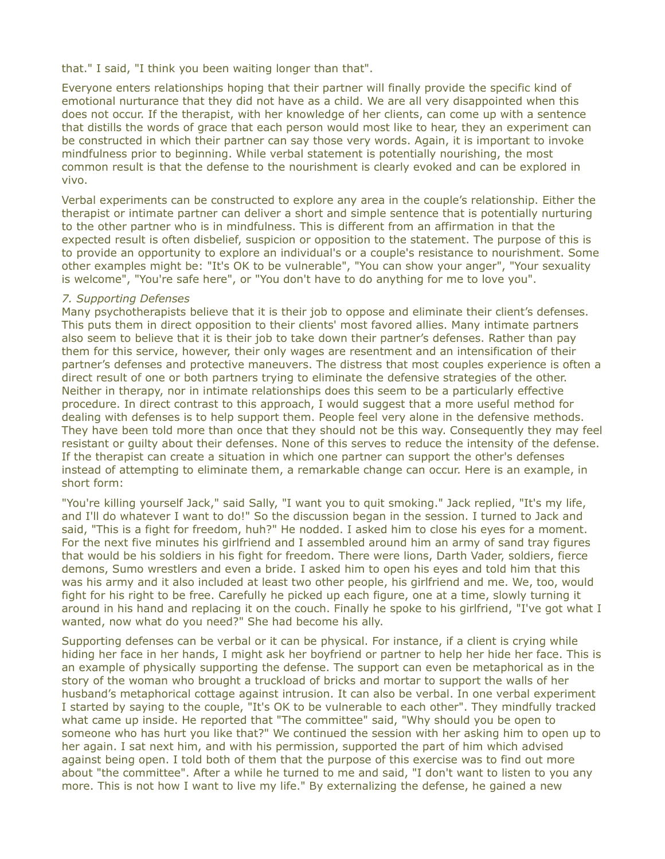that." I said, "I think you been waiting longer than that".

Everyone enters relationships hoping that their partner will finally provide the specific kind of emotional nurturance that they did not have as a child. We are all very disappointed when this does not occur. If the therapist, with her knowledge of her clients, can come up with a sentence that distills the words of grace that each person would most like to hear, they an experiment can be constructed in which their partner can say those very words. Again, it is important to invoke mindfulness prior to beginning. While verbal statement is potentially nourishing, the most common result is that the defense to the nourishment is clearly evoked and can be explored in vivo.

Verbal experiments can be constructed to explore any area in the couple's relationship. Either the therapist or intimate partner can deliver a short and simple sentence that is potentially nurturing to the other partner who is in mindfulness. This is different from an affirmation in that the expected result is often disbelief, suspicion or opposition to the statement. The purpose of this is to provide an opportunity to explore an individual's or a couple's resistance to nourishment. Some other examples might be: "It's OK to be vulnerable", "You can show your anger", "Your sexuality is welcome", "You're safe here", or "You don't have to do anything for me to love you".

## *7. Supporting Defenses*

Many psychotherapists believe that it is their job to oppose and eliminate their client's defenses. This puts them in direct opposition to their clients' most favored allies. Many intimate partners also seem to believe that it is their job to take down their partner's defenses. Rather than pay them for this service, however, their only wages are resentment and an intensification of their partner's defenses and protective maneuvers. The distress that most couples experience is often a direct result of one or both partners trying to eliminate the defensive strategies of the other. Neither in therapy, nor in intimate relationships does this seem to be a particularly effective procedure. In direct contrast to this approach, I would suggest that a more useful method for dealing with defenses is to help support them. People feel very alone in the defensive methods. They have been told more than once that they should not be this way. Consequently they may feel resistant or guilty about their defenses. None of this serves to reduce the intensity of the defense. If the therapist can create a situation in which one partner can support the other's defenses instead of attempting to eliminate them, a remarkable change can occur. Here is an example, in short form:

"You're killing yourself Jack," said Sally, "I want you to quit smoking." Jack replied, "It's my life, and I'll do whatever I want to do!" So the discussion began in the session. I turned to Jack and said, "This is a fight for freedom, huh?" He nodded. I asked him to close his eyes for a moment. For the next five minutes his girlfriend and I assembled around him an army of sand tray figures that would be his soldiers in his fight for freedom. There were lions, Darth Vader, soldiers, fierce demons, Sumo wrestlers and even a bride. I asked him to open his eyes and told him that this was his army and it also included at least two other people, his girlfriend and me. We, too, would fight for his right to be free. Carefully he picked up each figure, one at a time, slowly turning it around in his hand and replacing it on the couch. Finally he spoke to his girlfriend, "I've got what I wanted, now what do you need?" She had become his ally.

Supporting defenses can be verbal or it can be physical. For instance, if a client is crying while hiding her face in her hands, I might ask her boyfriend or partner to help her hide her face. This is an example of physically supporting the defense. The support can even be metaphorical as in the story of the woman who brought a truckload of bricks and mortar to support the walls of her husband's metaphorical cottage against intrusion. It can also be verbal. In one verbal experiment I started by saying to the couple, "It's OK to be vulnerable to each other". They mindfully tracked what came up inside. He reported that "The committee" said, "Why should you be open to someone who has hurt you like that?" We continued the session with her asking him to open up to her again. I sat next him, and with his permission, supported the part of him which advised against being open. I told both of them that the purpose of this exercise was to find out more about "the committee". After a while he turned to me and said, "I don't want to listen to you any more. This is not how I want to live my life." By externalizing the defense, he gained a new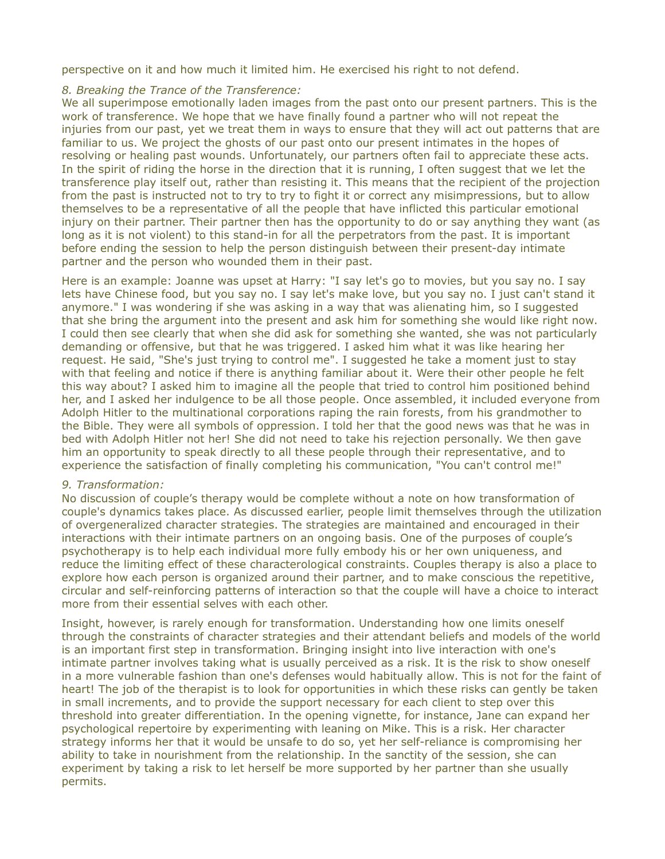perspective on it and how much it limited him. He exercised his right to not defend.

## *8. Breaking the Trance of the Transference:*

We all superimpose emotionally laden images from the past onto our present partners. This is the work of transference. We hope that we have finally found a partner who will not repeat the injuries from our past, yet we treat them in ways to ensure that they will act out patterns that are familiar to us. We project the ghosts of our past onto our present intimates in the hopes of resolving or healing past wounds. Unfortunately, our partners often fail to appreciate these acts. In the spirit of riding the horse in the direction that it is running, I often suggest that we let the transference play itself out, rather than resisting it. This means that the recipient of the projection from the past is instructed not to try to try to fight it or correct any misimpressions, but to allow themselves to be a representative of all the people that have inflicted this particular emotional injury on their partner. Their partner then has the opportunity to do or say anything they want (as long as it is not violent) to this stand-in for all the perpetrators from the past. It is important before ending the session to help the person distinguish between their present-day intimate partner and the person who wounded them in their past.

Here is an example: Joanne was upset at Harry: "I say let's go to movies, but you say no. I say lets have Chinese food, but you say no. I say let's make love, but you say no. I just can't stand it anymore." I was wondering if she was asking in a way that was alienating him, so I suggested that she bring the argument into the present and ask him for something she would like right now. I could then see clearly that when she did ask for something she wanted, she was not particularly demanding or offensive, but that he was triggered. I asked him what it was like hearing her request. He said, "She's just trying to control me". I suggested he take a moment just to stay with that feeling and notice if there is anything familiar about it. Were their other people he felt this way about? I asked him to imagine all the people that tried to control him positioned behind her, and I asked her indulgence to be all those people. Once assembled, it included everyone from Adolph Hitler to the multinational corporations raping the rain forests, from his grandmother to the Bible. They were all symbols of oppression. I told her that the good news was that he was in bed with Adolph Hitler not her! She did not need to take his rejection personally. We then gave him an opportunity to speak directly to all these people through their representative, and to experience the satisfaction of finally completing his communication, "You can't control me!"

#### *9. Transformation:*

No discussion of couple's therapy would be complete without a note on how transformation of couple's dynamics takes place. As discussed earlier, people limit themselves through the utilization of overgeneralized character strategies. The strategies are maintained and encouraged in their interactions with their intimate partners on an ongoing basis. One of the purposes of couple's psychotherapy is to help each individual more fully embody his or her own uniqueness, and reduce the limiting effect of these characterological constraints. Couples therapy is also a place to explore how each person is organized around their partner, and to make conscious the repetitive, circular and self-reinforcing patterns of interaction so that the couple will have a choice to interact more from their essential selves with each other.

Insight, however, is rarely enough for transformation. Understanding how one limits oneself through the constraints of character strategies and their attendant beliefs and models of the world is an important first step in transformation. Bringing insight into live interaction with one's intimate partner involves taking what is usually perceived as a risk. It is the risk to show oneself in a more vulnerable fashion than one's defenses would habitually allow. This is not for the faint of heart! The job of the therapist is to look for opportunities in which these risks can gently be taken in small increments, and to provide the support necessary for each client to step over this threshold into greater differentiation. In the opening vignette, for instance, Jane can expand her psychological repertoire by experimenting with leaning on Mike. This is a risk. Her character strategy informs her that it would be unsafe to do so, yet her self-reliance is compromising her ability to take in nourishment from the relationship. In the sanctity of the session, she can experiment by taking a risk to let herself be more supported by her partner than she usually permits.